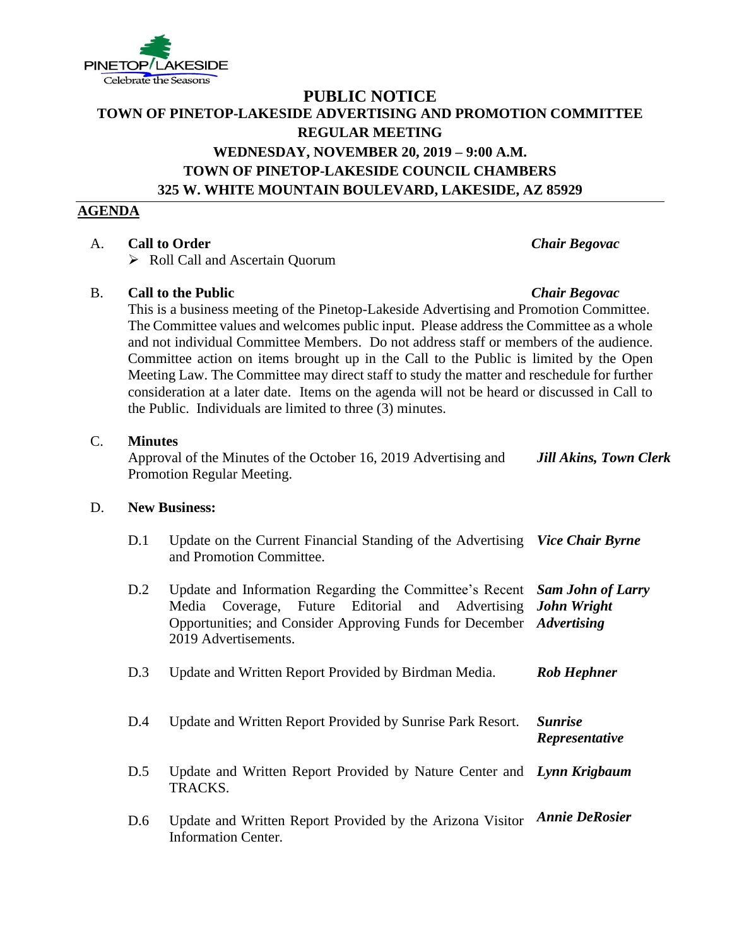

# **PUBLIC NOTICE TOWN OF PINETOP-LAKESIDE ADVERTISING AND PROMOTION COMMITTEE REGULAR MEETING WEDNESDAY, NOVEMBER 20, 2019 – 9:00 A.M. TOWN OF PINETOP-LAKESIDE COUNCIL CHAMBERS 325 W. WHITE MOUNTAIN BOULEVARD, LAKESIDE, AZ 85929**

## **AGENDA**

# A. **Call to Order** *Chair Begovac*

➢ Roll Call and Ascertain Quorum

## B. **Call to the Public** *Chair Begovac*

This is a business meeting of the Pinetop-Lakeside Advertising and Promotion Committee. The Committee values and welcomes public input. Please address the Committee as a whole and not individual Committee Members. Do not address staff or members of the audience. Committee action on items brought up in the Call to the Public is limited by the Open Meeting Law. The Committee may direct staff to study the matter and reschedule for further consideration at a later date. Items on the agenda will not be heard or discussed in Call to the Public. Individuals are limited to three (3) minutes.

### C. **Minutes**

Approval of the Minutes of the October 16, 2019 Advertising and Promotion Regular Meeting. *Jill Akins, Town Clerk*

#### D. **New Business:**

- D.1 Update on the Current Financial Standing of the Advertising *Vice Chair Byrne* and Promotion Committee.
- D.2 Update and Information Regarding the Committee's Recent Media Coverage, Future Editorial and Advertising Opportunities; and Consider Approving Funds for December *Advertising* 2019 Advertisements. *Sam John of Larry John Wright*

D.3 Update and Written Report Provided by Birdman Media. *Rob Hephner*

- D.4 Update and Written Report Provided by Sunrise Park Resort. *Sunrise Representative*
- D.5 Update and Written Report Provided by Nature Center and *Lynn Krigbaum* TRACKS.
- D.6 Update and Written Report Provided by the Arizona Visitor *Annie DeRosier*Information Center.